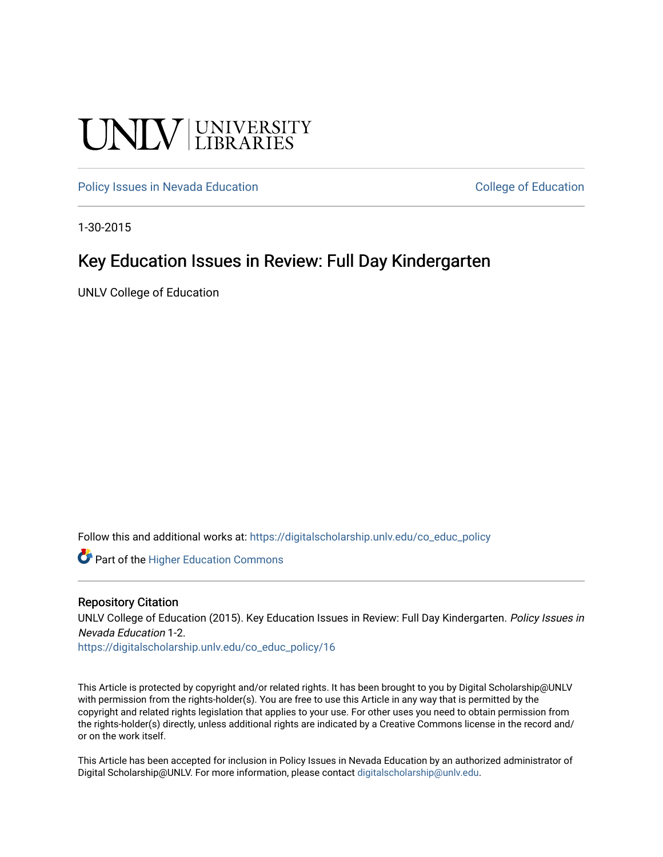# **UNIVERSITY**

[Policy Issues in Nevada Education](https://digitalscholarship.unlv.edu/co_educ_policy) **College of Education** College of Education

1-30-2015

#### Key Education Issues in Review: Full Day Kindergarten

UNLV College of Education

Follow this and additional works at: [https://digitalscholarship.unlv.edu/co\\_educ\\_policy](https://digitalscholarship.unlv.edu/co_educ_policy?utm_source=digitalscholarship.unlv.edu%2Fco_educ_policy%2F16&utm_medium=PDF&utm_campaign=PDFCoverPages)

**C** Part of the Higher Education Commons

#### Repository Citation

UNLV College of Education (2015). Key Education Issues in Review: Full Day Kindergarten. Policy Issues in Nevada Education 1-2.

[https://digitalscholarship.unlv.edu/co\\_educ\\_policy/16](https://digitalscholarship.unlv.edu/co_educ_policy/16) 

This Article is protected by copyright and/or related rights. It has been brought to you by Digital Scholarship@UNLV with permission from the rights-holder(s). You are free to use this Article in any way that is permitted by the copyright and related rights legislation that applies to your use. For other uses you need to obtain permission from the rights-holder(s) directly, unless additional rights are indicated by a Creative Commons license in the record and/ or on the work itself.

This Article has been accepted for inclusion in Policy Issues in Nevada Education by an authorized administrator of Digital Scholarship@UNLV. For more information, please contact [digitalscholarship@unlv.edu](mailto:digitalscholarship@unlv.edu).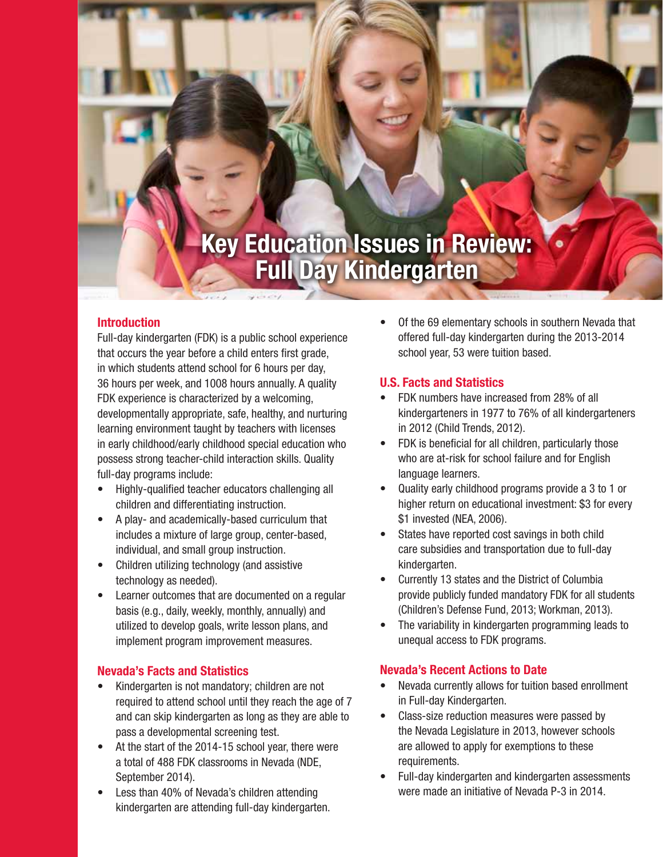## **Key Education Issues in Review: Full Day Kindergarten**

#### **Introduction**

Full-day kindergarten (FDK) is a public school experience that occurs the year before a child enters first grade, in which students attend school for 6 hours per day, 36 hours per week, and 1008 hours annually. A quality FDK experience is characterized by a welcoming, developmentally appropriate, safe, healthy, and nurturing learning environment taught by teachers with licenses in early childhood/early childhood special education who possess strong teacher-child interaction skills. Quality full-day programs include:

- Highly-qualified teacher educators challenging all children and differentiating instruction.
- A play- and academically-based curriculum that includes a mixture of large group, center-based, individual, and small group instruction.
- Children utilizing technology (and assistive technology as needed).
- Learner outcomes that are documented on a regular basis (e.g., daily, weekly, monthly, annually) and utilized to develop goals, write lesson plans, and implement program improvement measures.

#### **Nevada's Facts and Statistics**

- Kindergarten is not mandatory; children are not required to attend school until they reach the age of 7 and can skip kindergarten as long as they are able to pass a developmental screening test.
- At the start of the 2014-15 school year, there were a total of 488 FDK classrooms in Nevada (NDE, September 2014).
- Less than 40% of Nevada's children attending kindergarten are attending full-day kindergarten.

• Of the 69 elementary schools in southern Nevada that offered full-day kindergarten during the 2013-2014 school year, 53 were tuition based.

#### **U.S. Facts and Statistics**

- FDK numbers have increased from 28% of all kindergarteners in 1977 to 76% of all kindergarteners in 2012 (Child Trends, 2012).
- FDK is beneficial for all children, particularly those who are at-risk for school failure and for English language learners.
- Quality early childhood programs provide a 3 to 1 or higher return on educational investment: \$3 for every \$1 invested (NEA, 2006).
- States have reported cost savings in both child care subsidies and transportation due to full-day kindergarten.
- Currently 13 states and the District of Columbia provide publicly funded mandatory FDK for all students (Children's Defense Fund, 2013; Workman, 2013).
- The variability in kindergarten programming leads to unequal access to FDK programs.

#### **Nevada's Recent Actions to Date**

- Nevada currently allows for tuition based enrollment in Full-day Kindergarten.
- Class-size reduction measures were passed by the Nevada Legislature in 2013, however schools are allowed to apply for exemptions to these requirements.
- Full-day kindergarten and kindergarten assessments were made an initiative of Nevada P-3 in 2014.